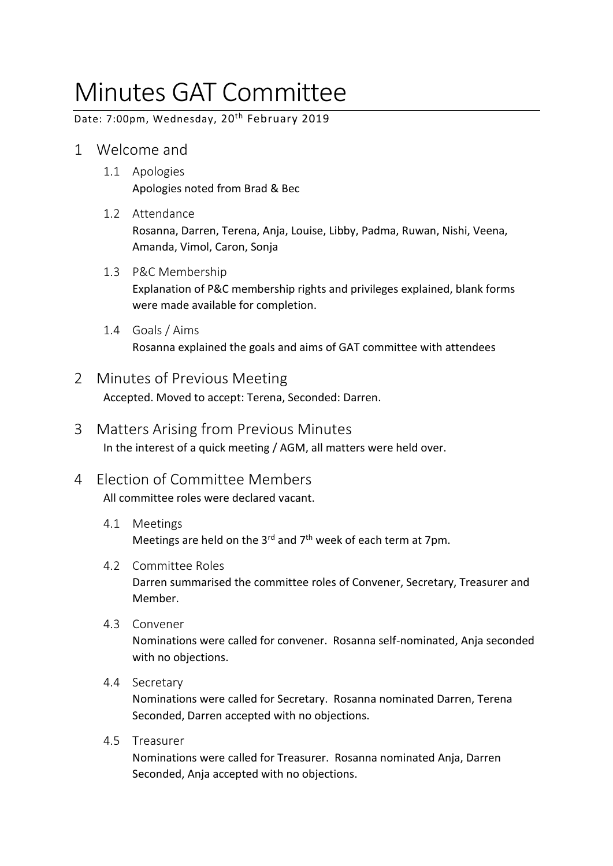# Minutes GAT Committee

Date: 7:00pm, Wednesday, 20<sup>th</sup> February 2019

- 1 Welcome and
	- 1.1 Apologies Apologies noted from Brad & Bec
	- 1.2 Attendance Rosanna, Darren, Terena, Anja, Louise, Libby, Padma, Ruwan, Nishi, Veena, Amanda, Vimol, Caron, Sonja
	- 1.3 P&C Membership Explanation of P&C membership rights and privileges explained, blank forms were made available for completion.
	- 1.4 Goals / Aims

Rosanna explained the goals and aims of GAT committee with attendees

- 2 Minutes of Previous Meeting Accepted. Moved to accept: Terena, Seconded: Darren.
- 3 Matters Arising from Previous Minutes In the interest of a quick meeting / AGM, all matters were held over.
- 4 Election of Committee Members All committee roles were declared vacant.
	- 4.1 Meetings Meetings are held on the 3<sup>rd</sup> and  $7<sup>th</sup>$  week of each term at 7pm.
	- 4.2 Committee Roles Darren summarised the committee roles of Convener, Secretary, Treasurer and Member.
	- 4.3 Convener

Nominations were called for convener. Rosanna self-nominated, Anja seconded with no objections.

4.4 Secretary

Nominations were called for Secretary. Rosanna nominated Darren, Terena Seconded, Darren accepted with no objections.

4.5 Treasurer

Nominations were called for Treasurer. Rosanna nominated Anja, Darren Seconded, Anja accepted with no objections.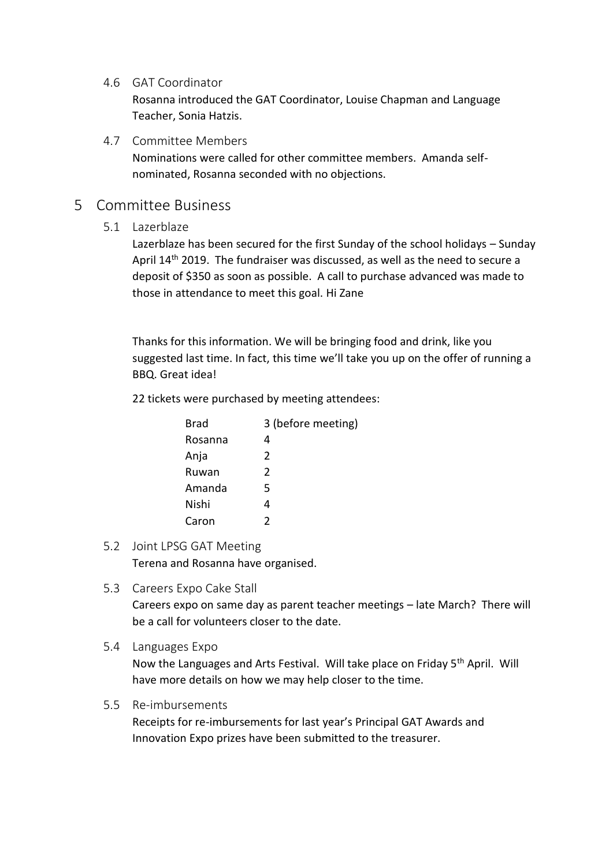4.6 GAT Coordinator

Rosanna introduced the GAT Coordinator, Louise Chapman and Language Teacher, Sonia Hatzis.

4.7 Committee Members

Nominations were called for other committee members. Amanda selfnominated, Rosanna seconded with no objections.

#### 5 Committee Business

5.1 Lazerblaze

Lazerblaze has been secured for the first Sunday of the school holidays – Sunday April 14<sup>th</sup> 2019. The fundraiser was discussed, as well as the need to secure a deposit of \$350 as soon as possible. A call to purchase advanced was made to those in attendance to meet this goal. Hi Zane

Thanks for this information. We will be bringing food and drink, like you suggested last time. In fact, this time we'll take you up on the offer of running a BBQ. Great idea!

22 tickets were purchased by meeting attendees:

| <b>Brad</b> | 3 (before meeting) |
|-------------|--------------------|
| Rosanna     | 4                  |
| Anja        | $\mathcal{P}$      |
| Ruwan       | $\mathcal{P}$      |
| Amanda      | 5                  |
| Nishi       | 4                  |
| Caron       | 2                  |

- 5.2 Joint LPSG GAT Meeting Terena and Rosanna have organised.
- 5.3 Careers Expo Cake Stall

Careers expo on same day as parent teacher meetings – late March? There will be a call for volunteers closer to the date.

5.4 Languages Expo

Now the Languages and Arts Festival. Will take place on Friday 5th April. Will have more details on how we may help closer to the time.

#### 5.5 Re-imbursements

Receipts for re-imbursements for last year's Principal GAT Awards and Innovation Expo prizes have been submitted to the treasurer.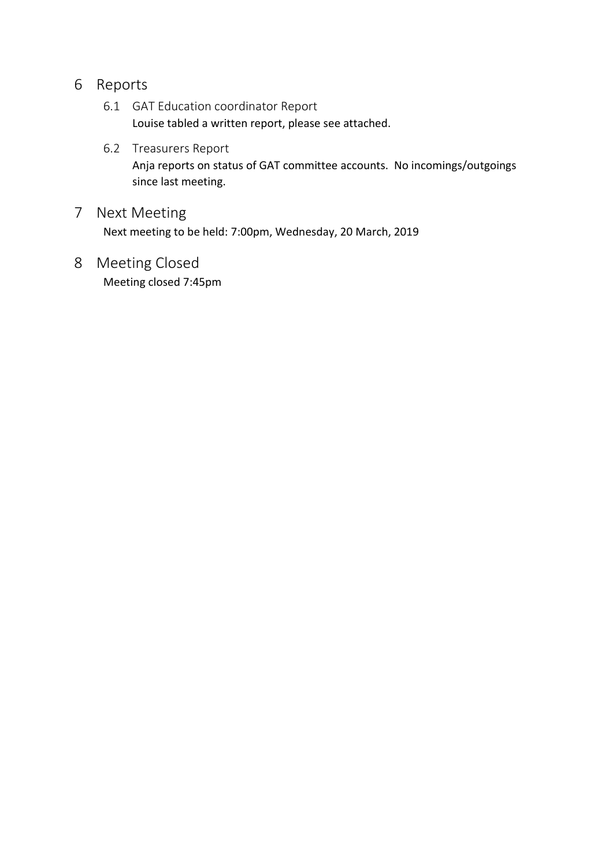#### 6 Reports

- 6.1 GAT Education coordinator Report Louise tabled a written report, please see attached.
- 6.2 Treasurers Report Anja reports on status of GAT committee accounts. No incomings/outgoings since last meeting.
- 7 Next Meeting Next meeting to be held: 7:00pm, Wednesday, 20 March, 2019
- 8 Meeting Closed Meeting closed 7:45pm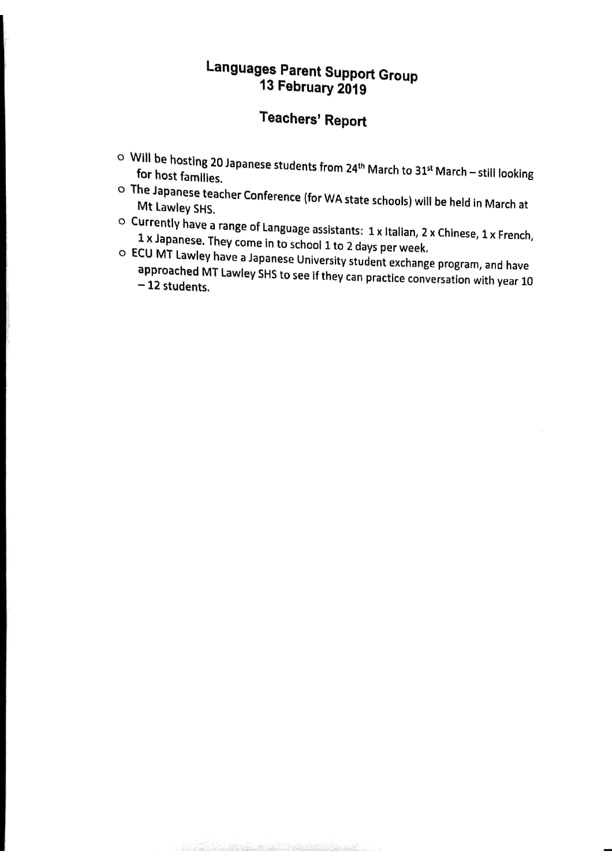### **Languages Parent Support Group** 13 February 2019

# **Teachers' Report**

- Will be hosting 20 Japanese students from 24<sup>th</sup> March to 31<sup>st</sup> March still looking for host families.
- o The Japanese teacher Conference (for WA state schools) will be held in March at Mt Lawley SHS.
- $\circ$  Currently have a range of Language assistants: 1 x Italian, 2 x Chinese, 1 x French, 1 x Japanese. They come in to school 1 to 2 days per week.
- O ECU MT Lawley have a Japanese University student exchange program, and have approached MT Lawley SHS to see if they can practice conversation with year 10  $-12$  students.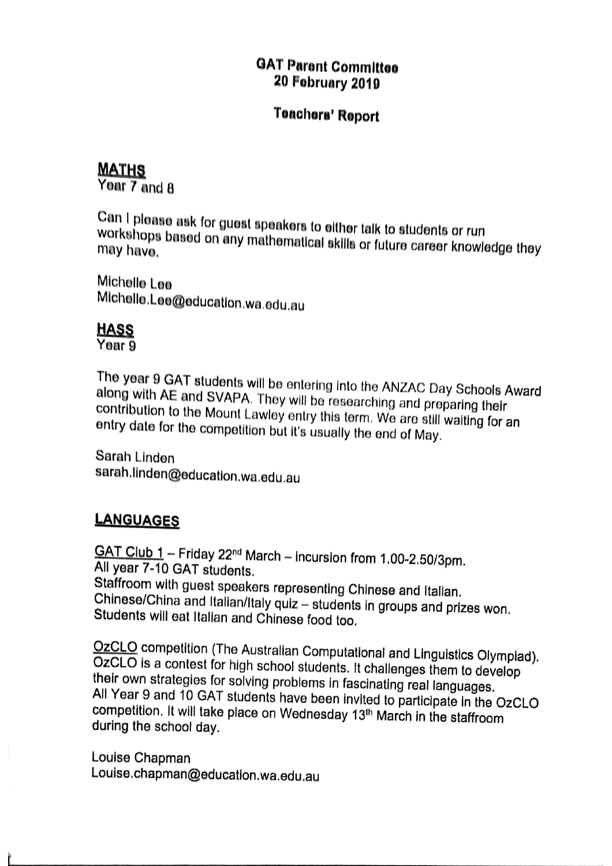#### **GAT Parent Committee 20 February 2019**

#### **Teachers' Report**

#### **MATHS**

Year 7 and 8

Can I please ask for guest speakers to either talk to students or run workshops based on any mathematical skills or future career knowledge they may have.

Michelle Lee Michelle.Lee@education.wa.edu.au

#### **HASS**

Year 9

The year 9 GAT students will be entering into the ANZAC Day Schools Award along with AE and SVAPA. They will be researching and preparing their contribution to the Mount Lawley entry this term. We are still waiting for an entry date for the competition but it's usually the end of May.

Sarah Linden sarah.linden@education.wa.edu.au

#### **LANGUAGES**

GAT Club 1 - Friday 22<sup>nd</sup> March - incursion from 1.00-2.50/3pm. All year 7-10 GAT students. Staffroom with guest speakers representing Chinese and Italian. Chinese/China and Italian/Italy quiz - students in groups and prizes won. Students will eat Italian and Chinese food too.

OzCLO competition (The Australian Computational and Linguistics Olympiad). OzCLO is a contest for high school students. It challenges them to develop their own strategies for solving problems in fascinating real languages. All Year 9 and 10 GAT students have been invited to participate in the OzCLO competition. It will take place on Wednesday 13<sup>th</sup> March in the staffroom during the school day.

Louise Chapman Louise.chapman@education.wa.edu.au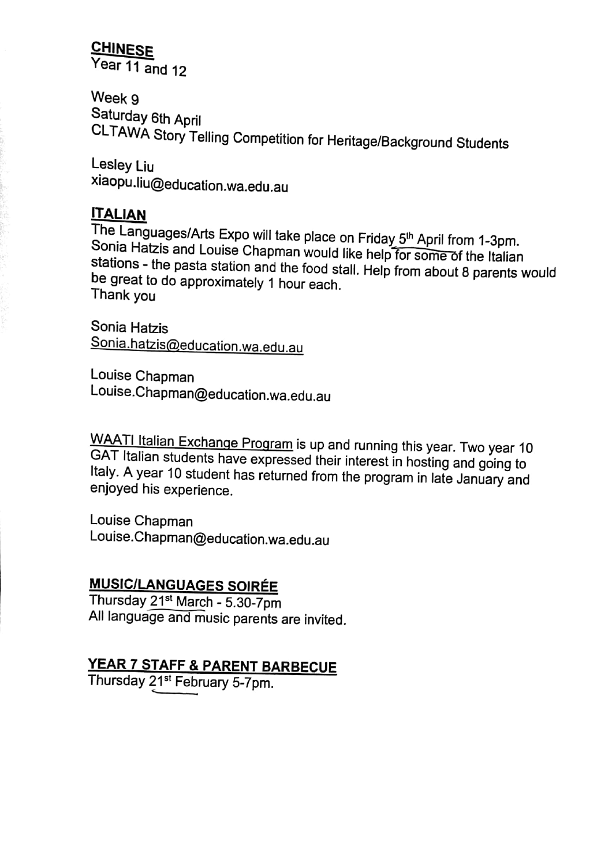### **CHINESE**

Year 11 and 12

Week 9 Saturday 6th April CLTAWA Story Telling Competition for Heritage/Background Students

Lesley Liu xiaopu.liu@education.wa.edu.au

#### **ITALIAN**

The Languages/Arts Expo will take place on Friday 5<sup>th</sup> April from 1-3pm. Sonia Hatzis and Louise Chapman would like help for some of the Italian stations - the pasta station and the food stall. Help from about 8 parents would be great to do approximately 1 hour each. Thank you

Sonia Hatzis Sonia.hatzis@education.wa.edu.au

Louise Chapman Louise.Chapman@education.wa.edu.au

WAATI Italian Exchange Program is up and running this year. Two year 10 GAT Italian students have expressed their interest in hosting and going to Italy. A year 10 student has returned from the program in late January and enjoyed his experience.

Louise Chapman Louise.Chapman@education.wa.edu.au

#### **MUSIC/LANGUAGES SOIRÉE**

Thursday 21<sup>st</sup> March - 5.30-7pm All language and music parents are invited.

### YEAR 7 STAFF & PARENT BARBECUE

Thursday 21<sup>st</sup> February 5-7pm.